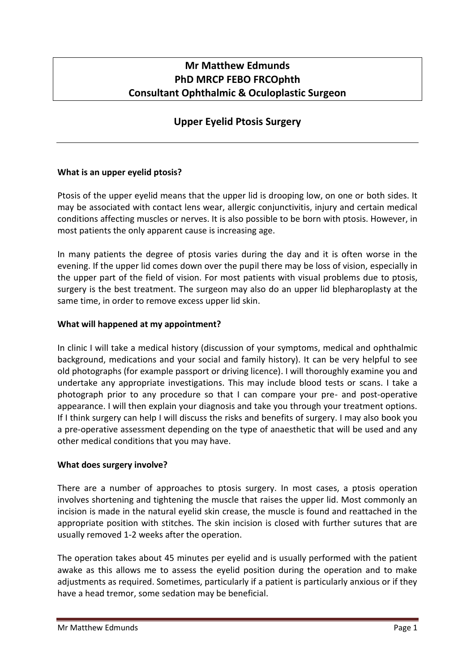## **Mr Matthew Edmunds PhD MRCP FEBO FRCOphth Consultant Ophthalmic & Oculoplastic Surgeon**

# **Upper Eyelid Ptosis Surgery**

## **What is an upper eyelid ptosis?**

Ptosis of the upper eyelid means that the upper lid is drooping low, on one or both sides. It may be associated with contact lens wear, allergic conjunctivitis, injury and certain medical conditions affecting muscles or nerves. It is also possible to be born with ptosis. However, in most patients the only apparent cause is increasing age.

In many patients the degree of ptosis varies during the day and it is often worse in the evening. If the upper lid comes down over the pupil there may be loss of vision, especially in the upper part of the field of vision. For most patients with visual problems due to ptosis, surgery is the best treatment. The surgeon may also do an upper lid blepharoplasty at the same time, in order to remove excess upper lid skin.

#### **What will happened at my appointment?**

In clinic I will take a medical history (discussion of your symptoms, medical and ophthalmic background, medications and your social and family history). It can be very helpful to see old photographs (for example passport or driving licence). I will thoroughly examine you and undertake any appropriate investigations. This may include blood tests or scans. I take a photograph prior to any procedure so that I can compare your pre- and post-operative appearance. I will then explain your diagnosis and take you through your treatment options. If I think surgery can help I will discuss the risks and benefits of surgery. I may also book you a pre-operative assessment depending on the type of anaesthetic that will be used and any other medical conditions that you may have.

#### **What does surgery involve?**

There are a number of approaches to ptosis surgery. In most cases, a ptosis operation involves shortening and tightening the muscle that raises the upper lid. Most commonly an incision is made in the natural eyelid skin crease, the muscle is found and reattached in the appropriate position with stitches. The skin incision is closed with further sutures that are usually removed 1-2 weeks after the operation.

The operation takes about 45 minutes per eyelid and is usually performed with the patient awake as this allows me to assess the eyelid position during the operation and to make adjustments as required. Sometimes, particularly if a patient is particularly anxious or if they have a head tremor, some sedation may be beneficial.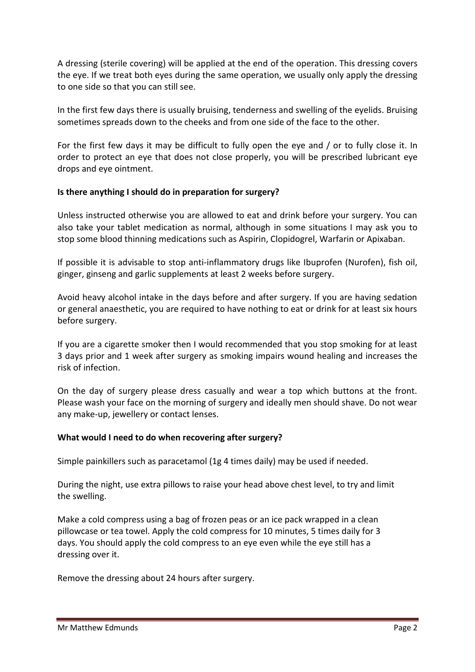A dressing (sterile covering) will be applied at the end of the operation. This dressing covers the eye. If we treat both eyes during the same operation, we usually only apply the dressing to one side so that you can still see.

In the first few days there is usually bruising, tenderness and swelling of the eyelids. Bruising sometimes spreads down to the cheeks and from one side of the face to the other.

For the first few days it may be difficult to fully open the eye and / or to fully close it. In order to protect an eye that does not close properly, you will be prescribed lubricant eye drops and eye ointment.

## **Is there anything I should do in preparation for surgery?**

Unless instructed otherwise you are allowed to eat and drink before your surgery. You can also take your tablet medication as normal, although in some situations I may ask you to stop some blood thinning medications such as Aspirin, Clopidogrel, Warfarin or Apixaban.

If possible it is advisable to stop anti-inflammatory drugs like Ibuprofen (Nurofen), fish oil, ginger, ginseng and garlic supplements at least 2 weeks before surgery.

Avoid heavy alcohol intake in the days before and after surgery. If you are having sedation or general anaesthetic, you are required to have nothing to eat or drink for at least six hours before surgery.

If you are a cigarette smoker then I would recommended that you stop smoking for at least 3 days prior and 1 week after surgery as smoking impairs wound healing and increases the risk of infection.

On the day of surgery please dress casually and wear a top which buttons at the front. Please wash your face on the morning of surgery and ideally men should shave. Do not wear any make-up, jewellery or contact lenses.

## **What would I need to do when recovering after surgery?**

Simple painkillers such as paracetamol (1g 4 times daily) may be used if needed.

During the night, use extra pillows to raise your head above chest level, to try and limit the swelling.

Make a cold compress using a bag of frozen peas or an ice pack wrapped in a clean pillowcase or tea towel. Apply the cold compress for 10 minutes, 5 times daily for 3 days. You should apply the cold compress to an eye even while the eye still has a dressing over it.

Remove the dressing about 24 hours after surgery.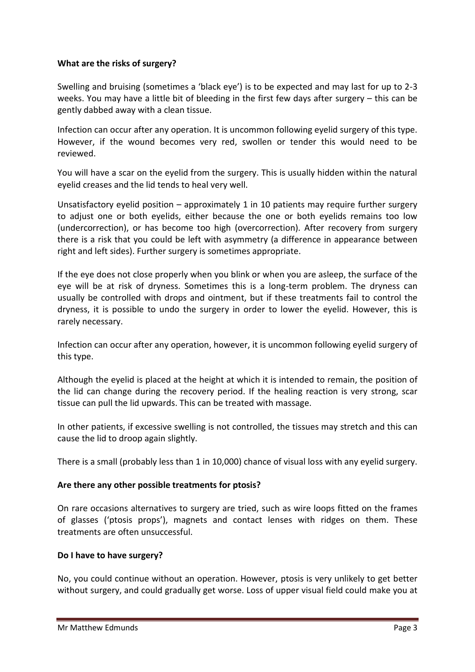#### **What are the risks of surgery?**

Swelling and bruising (sometimes a 'black eye') is to be expected and may last for up to 2-3 weeks. You may have a little bit of bleeding in the first few days after surgery – this can be gently dabbed away with a clean tissue.

Infection can occur after any operation. It is uncommon following eyelid surgery of this type. However, if the wound becomes very red, swollen or tender this would need to be reviewed.

You will have a scar on the eyelid from the surgery. This is usually hidden within the natural eyelid creases and the lid tends to heal very well.

Unsatisfactory eyelid position – approximately 1 in 10 patients may require further surgery to adjust one or both eyelids, either because the one or both eyelids remains too low (undercorrection), or has become too high (overcorrection). After recovery from surgery there is a risk that you could be left with asymmetry (a difference in appearance between right and left sides). Further surgery is sometimes appropriate.

If the eye does not close properly when you blink or when you are asleep, the surface of the eye will be at risk of dryness. Sometimes this is a long-term problem. The dryness can usually be controlled with drops and ointment, but if these treatments fail to control the dryness, it is possible to undo the surgery in order to lower the eyelid. However, this is rarely necessary.

Infection can occur after any operation, however, it is uncommon following eyelid surgery of this type.

Although the eyelid is placed at the height at which it is intended to remain, the position of the lid can change during the recovery period. If the healing reaction is very strong, scar tissue can pull the lid upwards. This can be treated with massage.

In other patients, if excessive swelling is not controlled, the tissues may stretch and this can cause the lid to droop again slightly.

There is a small (probably less than 1 in 10,000) chance of visual loss with any eyelid surgery.

#### **Are there any other possible treatments for ptosis?**

On rare occasions alternatives to surgery are tried, such as wire loops fitted on the frames of glasses ('ptosis props'), magnets and contact lenses with ridges on them. These treatments are often unsuccessful.

#### **Do I have to have surgery?**

No, you could continue without an operation. However, ptosis is very unlikely to get better without surgery, and could gradually get worse. Loss of upper visual field could make you at